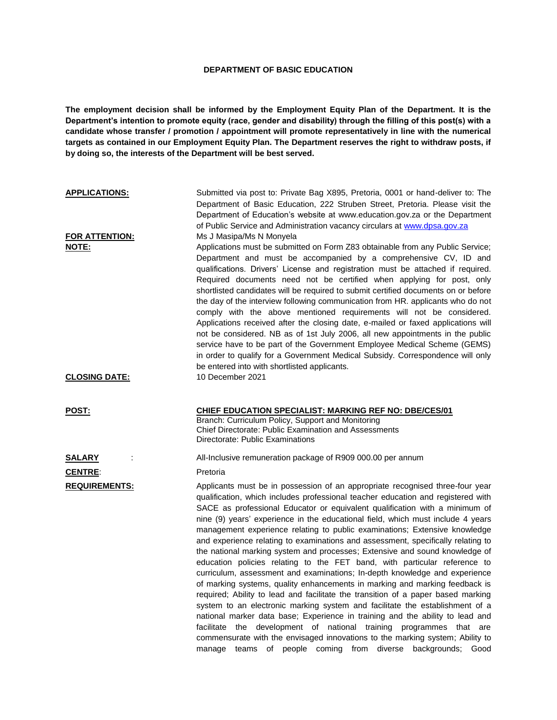## **DEPARTMENT OF BASIC EDUCATION**

**The employment decision shall be informed by the Employment Equity Plan of the Department. It is the Department's intention to promote equity (race, gender and disability) through the filling of this post(s) with a candidate whose transfer / promotion / appointment will promote representatively in line with the numerical targets as contained in our Employment Equity Plan. The Department reserves the right to withdraw posts, if by doing so, the interests of the Department will be best served.**

| <b>APPLICATIONS:</b>                  | Submitted via post to: Private Bag X895, Pretoria, 0001 or hand-deliver to: The<br>Department of Basic Education, 222 Struben Street, Pretoria. Please visit the<br>Department of Education's website at www.education.gov.za or the Department<br>of Public Service and Administration vacancy circulars at www.dpsa.gov.za                                                                                                                                                                                                                                                                                                                                                                                                                                                                                                                                                                                                                                                                                                                                                                                                                                                                                                                                                                                   |
|---------------------------------------|----------------------------------------------------------------------------------------------------------------------------------------------------------------------------------------------------------------------------------------------------------------------------------------------------------------------------------------------------------------------------------------------------------------------------------------------------------------------------------------------------------------------------------------------------------------------------------------------------------------------------------------------------------------------------------------------------------------------------------------------------------------------------------------------------------------------------------------------------------------------------------------------------------------------------------------------------------------------------------------------------------------------------------------------------------------------------------------------------------------------------------------------------------------------------------------------------------------------------------------------------------------------------------------------------------------|
| <u>FOR ATTENTION:</u><br><u>NOTE:</u> | Ms J Masipa/Ms N Monyela<br>Applications must be submitted on Form Z83 obtainable from any Public Service;<br>Department and must be accompanied by a comprehensive CV, ID and<br>qualifications. Drivers' License and registration must be attached if required.<br>Required documents need not be certified when applying for post, only<br>shortlisted candidates will be required to submit certified documents on or before<br>the day of the interview following communication from HR. applicants who do not<br>comply with the above mentioned requirements will not be considered.<br>Applications received after the closing date, e-mailed or faxed applications will<br>not be considered. NB as of 1st July 2006, all new appointments in the public<br>service have to be part of the Government Employee Medical Scheme (GEMS)<br>in order to qualify for a Government Medical Subsidy. Correspondence will only<br>be entered into with shortlisted applicants.                                                                                                                                                                                                                                                                                                                                |
| <b>CLOSING DATE:</b>                  | 10 December 2021                                                                                                                                                                                                                                                                                                                                                                                                                                                                                                                                                                                                                                                                                                                                                                                                                                                                                                                                                                                                                                                                                                                                                                                                                                                                                               |
| <b>POST:</b>                          | CHIEF EDUCATION SPECIALIST: MARKING REF NO: DBE/CES/01<br>Branch: Curriculum Policy, Support and Monitoring<br>Chief Directorate: Public Examination and Assessments<br>Directorate: Public Examinations                                                                                                                                                                                                                                                                                                                                                                                                                                                                                                                                                                                                                                                                                                                                                                                                                                                                                                                                                                                                                                                                                                       |
| SALARY                                | All-Inclusive remuneration package of R909 000.00 per annum                                                                                                                                                                                                                                                                                                                                                                                                                                                                                                                                                                                                                                                                                                                                                                                                                                                                                                                                                                                                                                                                                                                                                                                                                                                    |
| <b>CENTRE:</b>                        | Pretoria                                                                                                                                                                                                                                                                                                                                                                                                                                                                                                                                                                                                                                                                                                                                                                                                                                                                                                                                                                                                                                                                                                                                                                                                                                                                                                       |
| <b>REQUIREMENTS:</b>                  | Applicants must be in possession of an appropriate recognised three-four year<br>qualification, which includes professional teacher education and registered with<br>SACE as professional Educator or equivalent qualification with a minimum of<br>nine (9) years' experience in the educational field, which must include 4 years<br>management experience relating to public examinations; Extensive knowledge<br>and experience relating to examinations and assessment, specifically relating to<br>the national marking system and processes; Extensive and sound knowledge of<br>education policies relating to the FET band, with particular reference to<br>curriculum, assessment and examinations; In-depth knowledge and experience<br>of marking systems, quality enhancements in marking and marking feedback is<br>required; Ability to lead and facilitate the transition of a paper based marking<br>system to an electronic marking system and facilitate the establishment of a<br>national marker data base; Experience in training and the ability to lead and<br>facilitate the development of national training programmes that<br>are<br>commensurate with the envisaged innovations to the marking system; Ability to<br>manage teams of people coming from diverse backgrounds; Good |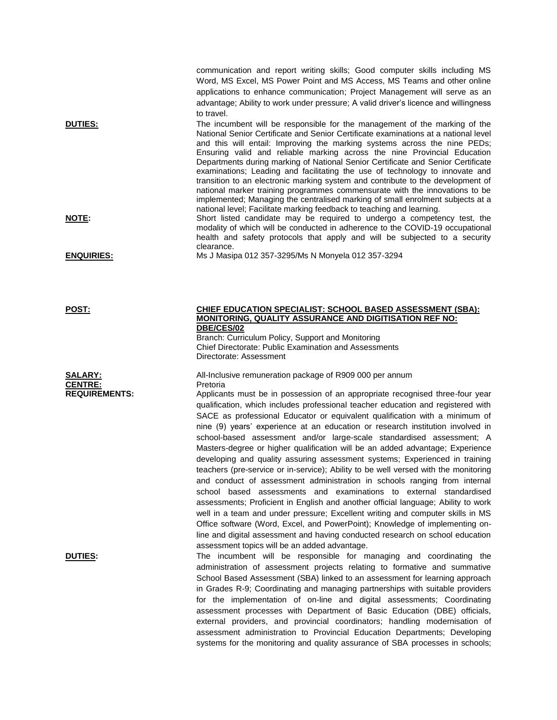| <b>DUTIES:</b><br>NOTE:                                  | communication and report writing skills; Good computer skills including MS<br>Word, MS Excel, MS Power Point and MS Access, MS Teams and other online<br>applications to enhance communication; Project Management will serve as an<br>advantage; Ability to work under pressure; A valid driver's licence and willingness<br>to travel.<br>The incumbent will be responsible for the management of the marking of the<br>National Senior Certificate and Senior Certificate examinations at a national level<br>and this will entail: Improving the marking systems across the nine PEDs;<br>Ensuring valid and reliable marking across the nine Provincial Education<br>Departments during marking of National Senior Certificate and Senior Certificate<br>examinations; Leading and facilitating the use of technology to innovate and<br>transition to an electronic marking system and contribute to the development of<br>national marker training programmes commensurate with the innovations to be<br>implemented; Managing the centralised marking of small enrolment subjects at a<br>national level; Facilitate marking feedback to teaching and learning.<br>Short listed candidate may be required to undergo a competency test, the<br>modality of which will be conducted in adherence to the COVID-19 occupational<br>health and safety protocols that apply and will be subjected to a security<br>clearance.<br>Ms J Masipa 012 357-3295/Ms N Monyela 012 357-3294 |
|----------------------------------------------------------|----------------------------------------------------------------------------------------------------------------------------------------------------------------------------------------------------------------------------------------------------------------------------------------------------------------------------------------------------------------------------------------------------------------------------------------------------------------------------------------------------------------------------------------------------------------------------------------------------------------------------------------------------------------------------------------------------------------------------------------------------------------------------------------------------------------------------------------------------------------------------------------------------------------------------------------------------------------------------------------------------------------------------------------------------------------------------------------------------------------------------------------------------------------------------------------------------------------------------------------------------------------------------------------------------------------------------------------------------------------------------------------------------------------------------------------------------------------------------------------|
| <b>ENQUIRIES:</b>                                        |                                                                                                                                                                                                                                                                                                                                                                                                                                                                                                                                                                                                                                                                                                                                                                                                                                                                                                                                                                                                                                                                                                                                                                                                                                                                                                                                                                                                                                                                                        |
| <u>POST:</u>                                             | <b>CHIEF EDUCATION SPECIALIST: SCHOOL BASED ASSESSMENT (SBA):</b><br><b>MONITORING, QUALITY ASSURANCE AND DIGITISATION REF NO:</b><br>DBE/CES/02<br>Branch: Curriculum Policy, Support and Monitoring<br>Chief Directorate: Public Examination and Assessments<br>Directorate: Assessment                                                                                                                                                                                                                                                                                                                                                                                                                                                                                                                                                                                                                                                                                                                                                                                                                                                                                                                                                                                                                                                                                                                                                                                              |
| <b>SALARY:</b><br><b>CENTRE:</b><br><b>REQUIREMENTS:</b> | All-Inclusive remuneration package of R909 000 per annum<br>Pretoria<br>Applicants must be in possession of an appropriate recognised three-four year<br>qualification, which includes professional teacher education and registered with<br>SACE as professional Educator or equivalent qualification with a minimum of<br>nine (9) years' experience at an education or research institution involved in<br>school-based assessment and/or large-scale standardised assessment; A<br>Masters-degree or higher qualification will be an added advantage; Experience<br>developing and quality assuring assessment systems; Experienced in training<br>teachers (pre-service or in-service); Ability to be well versed with the monitoring<br>and conduct of assessment administration in schools ranging from internal<br>school based assessments and examinations to external standardised<br>assessments; Proficient in English and another official language; Ability to work<br>well in a team and under pressure; Excellent writing and computer skills in MS<br>Office software (Word, Excel, and PowerPoint); Knowledge of implementing on-<br>line and digital assessment and having conducted research on school education                                                                                                                                                                                                                                                  |
| <u>DUTIES:</u>                                           | assessment topics will be an added advantage.<br>The incumbent will be responsible for managing and coordinating the<br>administration of assessment projects relating to formative and summative<br>School Based Assessment (SBA) linked to an assessment for learning approach<br>in Grades R-9; Coordinating and managing partnerships with suitable providers<br>for the implementation of on-line and digital assessments; Coordinating<br>assessment processes with Department of Basic Education (DBE) officials,<br>external providers, and provincial coordinators; handling modernisation of<br>assessment administration to Provincial Education Departments; Developing<br>systems for the monitoring and quality assurance of SBA processes in schools;                                                                                                                                                                                                                                                                                                                                                                                                                                                                                                                                                                                                                                                                                                                   |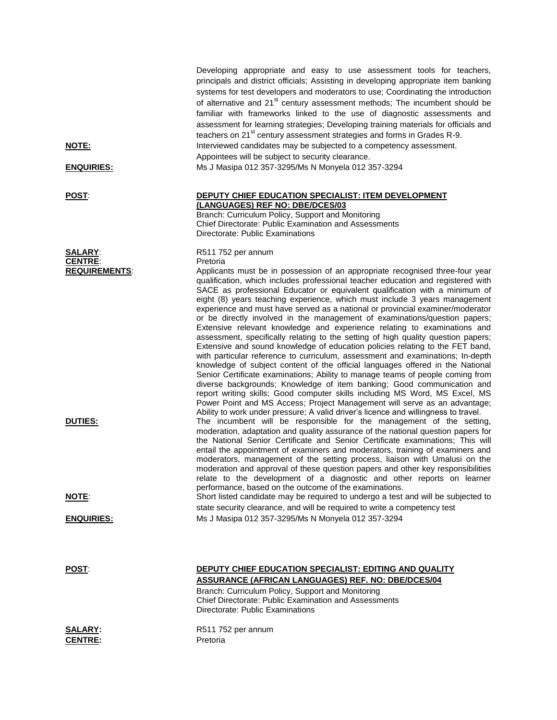|                                                          | Developing appropriate and easy to use assessment tools for teachers,<br>principals and district officials; Assisting in developing appropriate item banking<br>systems for test developers and moderators to use; Coordinating the introduction<br>of alternative and 21 <sup>st</sup> century assessment methods; The incumbent should be<br>familiar with frameworks linked to the use of diagnostic assessments and<br>assessment for learning strategies; Developing training materials for officials and<br>teachers on 21 <sup>st</sup> century assessment strategies and forms in Grades R-9.                                                                                                                                                                                                                                                                                                                                                                                                                                                                                                                                                                                                                                                                                                                                                                                                                                                                                                                                                                                                                                                                                                                                                                                                                                           |
|----------------------------------------------------------|-------------------------------------------------------------------------------------------------------------------------------------------------------------------------------------------------------------------------------------------------------------------------------------------------------------------------------------------------------------------------------------------------------------------------------------------------------------------------------------------------------------------------------------------------------------------------------------------------------------------------------------------------------------------------------------------------------------------------------------------------------------------------------------------------------------------------------------------------------------------------------------------------------------------------------------------------------------------------------------------------------------------------------------------------------------------------------------------------------------------------------------------------------------------------------------------------------------------------------------------------------------------------------------------------------------------------------------------------------------------------------------------------------------------------------------------------------------------------------------------------------------------------------------------------------------------------------------------------------------------------------------------------------------------------------------------------------------------------------------------------------------------------------------------------------------------------------------------------|
| <u>NOTE:</u>                                             | Interviewed candidates may be subjected to a competency assessment.<br>Appointees will be subject to security clearance.                                                                                                                                                                                                                                                                                                                                                                                                                                                                                                                                                                                                                                                                                                                                                                                                                                                                                                                                                                                                                                                                                                                                                                                                                                                                                                                                                                                                                                                                                                                                                                                                                                                                                                                        |
| <b>ENQUIRIES:</b>                                        | Ms J Masipa 012 357-3295/Ms N Monyela 012 357-3294                                                                                                                                                                                                                                                                                                                                                                                                                                                                                                                                                                                                                                                                                                                                                                                                                                                                                                                                                                                                                                                                                                                                                                                                                                                                                                                                                                                                                                                                                                                                                                                                                                                                                                                                                                                              |
| <b>POST:</b>                                             | DEPUTY CHIEF EDUCATION SPECIALIST: ITEM DEVELOPMENT<br>(LANGUAGES) REF NO: DBE/DCES/03<br>Branch: Curriculum Policy, Support and Monitoring<br>Chief Directorate: Public Examination and Assessments<br>Directorate: Public Examinations                                                                                                                                                                                                                                                                                                                                                                                                                                                                                                                                                                                                                                                                                                                                                                                                                                                                                                                                                                                                                                                                                                                                                                                                                                                                                                                                                                                                                                                                                                                                                                                                        |
| <b>SALARY:</b>                                           | R511 752 per annum                                                                                                                                                                                                                                                                                                                                                                                                                                                                                                                                                                                                                                                                                                                                                                                                                                                                                                                                                                                                                                                                                                                                                                                                                                                                                                                                                                                                                                                                                                                                                                                                                                                                                                                                                                                                                              |
| <b>CENTRE:</b><br><b>REQUIREMENTS:</b><br><b>DUTIES:</b> | Pretoria<br>Applicants must be in possession of an appropriate recognised three-four year<br>qualification, which includes professional teacher education and registered with<br>SACE as professional Educator or equivalent qualification with a minimum of<br>eight (8) years teaching experience, which must include 3 years management<br>experience and must have served as a national or provincial examiner/moderator<br>or be directly involved in the management of examinations/question papers;<br>Extensive relevant knowledge and experience relating to examinations and<br>assessment, specifically relating to the setting of high quality question papers;<br>Extensive and sound knowledge of education policies relating to the FET band,<br>with particular reference to curriculum, assessment and examinations; In-depth<br>knowledge of subject content of the official languages offered in the National<br>Senior Certificate examinations; Ability to manage teams of people coming from<br>diverse backgrounds; Knowledge of item banking; Good communication and<br>report writing skills; Good computer skills including MS Word, MS Excel, MS<br>Power Point and MS Access; Project Management will serve as an advantage;<br>Ability to work under pressure; A valid driver's licence and willingness to travel.<br>The incumbent will be responsible for the management of the setting,<br>moderation, adaptation and quality assurance of the national question papers for<br>the National Senior Certificate and Senior Certificate examinations; This will<br>entail the appointment of examiners and moderators, training of examiners and<br>moderators, management of the setting process, liaison with Umalusi on the<br>moderation and approval of these question papers and other key responsibilities |
| <b>NOTE:</b>                                             | relate to the development of a diagnostic and other reports on learner<br>performance, based on the outcome of the examinations.                                                                                                                                                                                                                                                                                                                                                                                                                                                                                                                                                                                                                                                                                                                                                                                                                                                                                                                                                                                                                                                                                                                                                                                                                                                                                                                                                                                                                                                                                                                                                                                                                                                                                                                |
|                                                          | Short listed candidate may be required to undergo a test and will be subjected to<br>state security clearance, and will be required to write a competency test                                                                                                                                                                                                                                                                                                                                                                                                                                                                                                                                                                                                                                                                                                                                                                                                                                                                                                                                                                                                                                                                                                                                                                                                                                                                                                                                                                                                                                                                                                                                                                                                                                                                                  |
| <u>ENQUIRIES:</u>                                        | Ms J Masipa 012 357-3295/Ms N Monyela 012 357-3294                                                                                                                                                                                                                                                                                                                                                                                                                                                                                                                                                                                                                                                                                                                                                                                                                                                                                                                                                                                                                                                                                                                                                                                                                                                                                                                                                                                                                                                                                                                                                                                                                                                                                                                                                                                              |
| <b>POST:</b>                                             | DEPUTY CHIEF EDUCATION SPECIALIST: EDITING AND QUALITY<br><b>ASSURANCE (AFRICAN LANGUAGES) REF. NO: DBE/DCES/04</b><br>Branch: Curriculum Policy, Support and Monitoring<br>Chief Directorate: Public Examination and Assessments<br>Directorate: Public Examinations                                                                                                                                                                                                                                                                                                                                                                                                                                                                                                                                                                                                                                                                                                                                                                                                                                                                                                                                                                                                                                                                                                                                                                                                                                                                                                                                                                                                                                                                                                                                                                           |
| <b>SALARY:</b><br><b>CENTRE:</b>                         | R511 752 per annum<br>Pretoria                                                                                                                                                                                                                                                                                                                                                                                                                                                                                                                                                                                                                                                                                                                                                                                                                                                                                                                                                                                                                                                                                                                                                                                                                                                                                                                                                                                                                                                                                                                                                                                                                                                                                                                                                                                                                  |